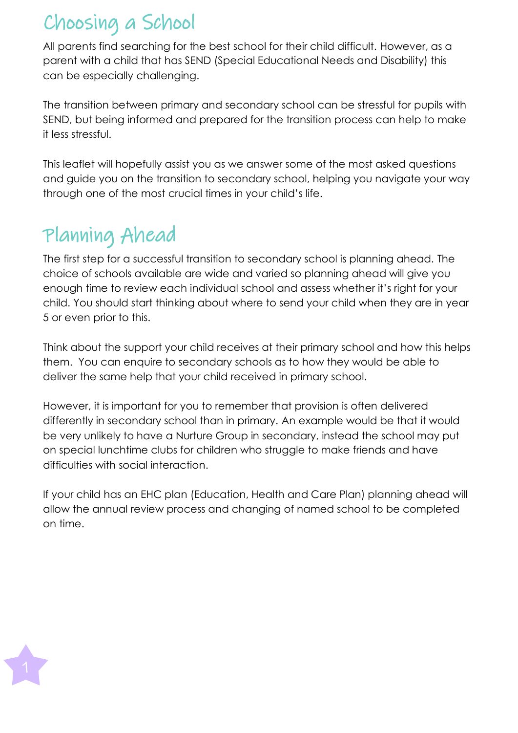### Choosing a School

All parents find searching for the best school for their child difficult. However, as a parent with a child that has SEND (Special Educational Needs and Disability) this can be especially challenging.

The transition between primary and secondary school can be stressful for pupils with SEND, but being informed and prepared for the transition process can help to make it less stressful.

This leaflet will hopefully assist you as we answer some of the most asked questions and guide you on the transition to secondary school, helping you navigate your way through one of the most crucial times in your child's life.

## Planning Ahead

The first step for a successful transition to secondary school is planning ahead. The choice of schools available are wide and varied so planning ahead will give you enough time to review each individual school and assess whether it's right for your child. You should start thinking about where to send your child when they are in year 5 or even prior to this.

Think about the support your child receives at their primary school and how this helps them. You can enquire to secondary schools as to how they would be able to deliver the same help that your child received in primary school.

However, it is important for you to remember that provision is often delivered differently in secondary school than in primary. An example would be that it would be very unlikely to have a Nurture Group in secondary, instead the school may put on special lunchtime clubs for children who struggle to make friends and have difficulties with social interaction.

If your child has an EHC plan (Education, Health and Care Plan) planning ahead will allow the annual review process and changing of named school to be completed on time.

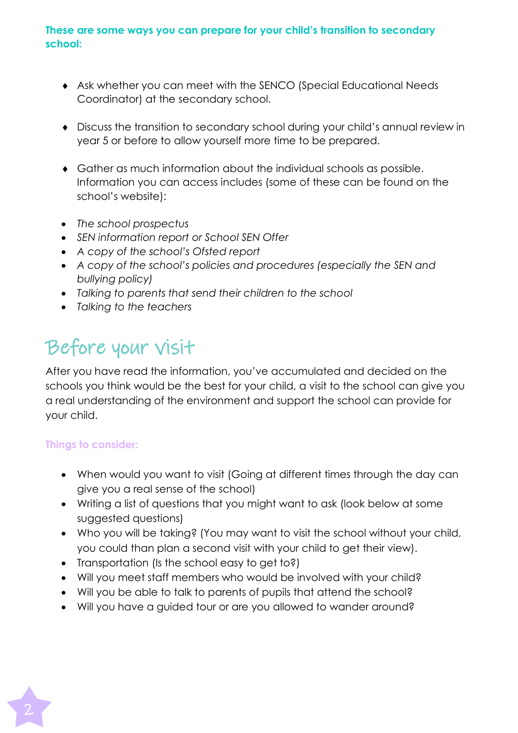#### **These are some ways you can prepare for your child's transition to secondary school:**

- Ask whether you can meet with the SENCO (Special Educational Needs Coordinator) at the secondary school.
- Discuss the transition to secondary school during your child's annual review in year 5 or before to allow yourself more time to be prepared.
- Gather as much information about the individual schools as possible. Information you can access includes (some of these can be found on the school's website):
- *The school prospectus*
- *SEN information report or School SEN Offer*
- *A copy of the school's Ofsted report*
- *A copy of the school's policies and procedures (especially the SEN and bullying policy)*
- *Talking to parents that send their children to the school*
- *Talking to the teachers*

## Before your visit

After you have read the information, you've accumulated and decided on the schools you think would be the best for your child, a visit to the school can give you a real understanding of the environment and support the school can provide for your child.

#### **Things to consider:**

- When would you want to visit (Going at different times through the day can give you a real sense of the school)
- Writing a list of questions that you might want to ask (look below at some suggested questions)
- Who you will be taking? (You may want to visit the school without your child, you could than plan a second visit with your child to get their view).
- Transportation (Is the school easy to get to?)
- Will you meet staff members who would be involved with your child?
- Will you be able to talk to parents of pupils that attend the school?
- Will you have a guided tour or are you allowed to wander around?

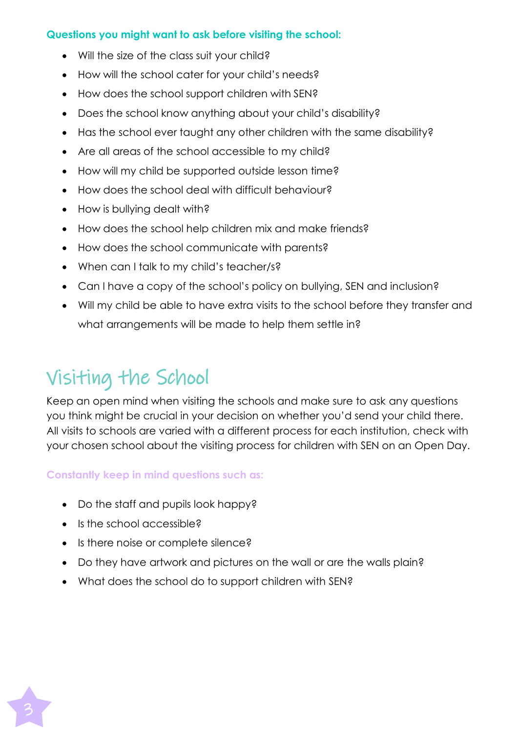#### **Questions you might want to ask before visiting the school:**

- Will the size of the class suit your child?
- How will the school cater for your child's needs?
- How does the school support children with SEN?
- Does the school know anything about your child's disability?
- Has the school ever taught any other children with the same disability?
- Are all areas of the school accessible to my child?
- How will my child be supported outside lesson time?
- How does the school deal with difficult behaviour?
- How is bullying dealt with?
- How does the school help children mix and make friends?
- How does the school communicate with parents?
- When can I talk to my child's teacher/s?
- Can I have a copy of the school's policy on bullying, SEN and inclusion?
- Will my child be able to have extra visits to the school before they transfer and what arrangements will be made to help them settle in?

## Visiting the School

Keep an open mind when visiting the schools and make sure to ask any questions you think might be crucial in your decision on whether you'd send your child there. All visits to schools are varied with a different process for each institution, check with your chosen school about the visiting process for children with SEN on an Open Day.

#### **Constantly keep in mind questions such as:**

- Do the staff and pupils look happy?
- Is the school accessible?
- Is there noise or complete silence?
- Do they have artwork and pictures on the wall or are the walls plain?
- What does the school do to support children with SEN?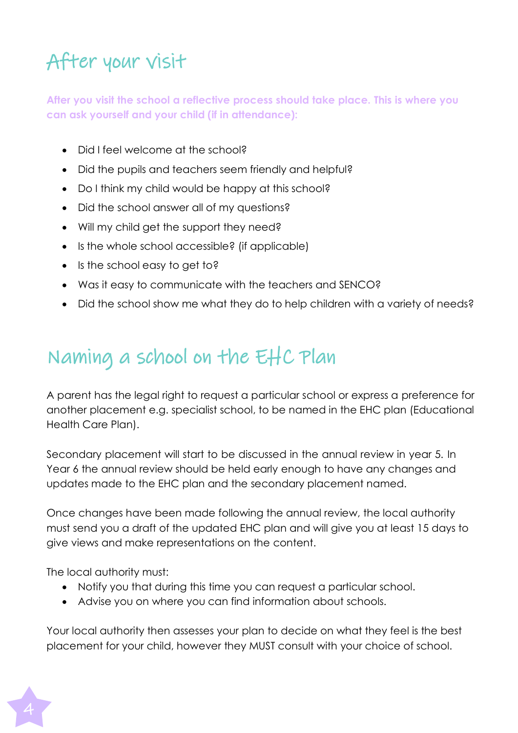# After your visit

**After you visit the school a reflective process should take place. This is where you can ask yourself and your child (if in attendance):**

- Did I feel welcome at the school?
- Did the pupils and teachers seem friendly and helpful?
- Do I think my child would be happy at this school?
- Did the school answer all of my questions?
- Will my child get the support they need?
- Is the whole school accessible? (if applicable)
- Is the school easy to get to?
- Was it easy to communicate with the teachers and SENCO?
- Did the school show me what they do to help children with a variety of needs?

### Naming a school on the EHC Plan

A parent has the legal right to request a particular school or express a preference for another placement e.g. specialist school, to be named in the EHC plan (Educational Health Care Plan).

Secondary placement will start to be discussed in the annual review in year 5. In Year 6 the annual review should be held early enough to have any changes and updates made to the EHC plan and the secondary placement named.

Once changes have been made following the annual review, the local authority must send you a draft of the updated EHC plan and will give you at least 15 days to give views and make representations on the content.

The local authority must:

- Notify you that during this time you can request a particular school.
- Advise you on where you can find information about schools.

Your local authority then assesses your plan to decide on what they feel is the best placement for your child, however they MUST consult with your choice of school.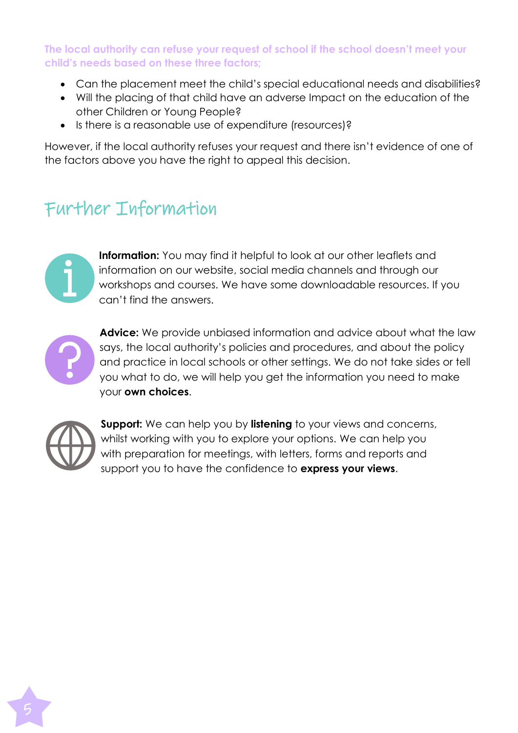**The local authority can refuse your request of school if the school doesn't meet your child's needs based on these three factors;**

- Can the placement meet the child's special educational needs and disabilities?
- Will the placing of that child have an adverse Impact on the education of the other Children or Young People?
- Is there is a reasonable use of expenditure (resources)?

However, if the local authority refuses your request and there isn't evidence of one of the factors above you have the right to appeal this decision.

### Further Information



**Information:** You may find it helpful to look at our other leaflets and information on our website, social media channels and through our workshops and courses. We have some downloadable resources. If you can't find the answers.



**Advice:** We provide unbiased information and advice about what the law says, the local authority's policies and procedures, and about the policy and practice in local schools or other settings. We do not take sides or tell you what to do, we will help you get the information you need to make your **own choices**.



**Support:** We can help you by **listening** to your views and concerns, whilst working with you to explore your options. We can help you with preparation for meetings, with letters, forms and reports and support you to have the confidence to **express your views**.